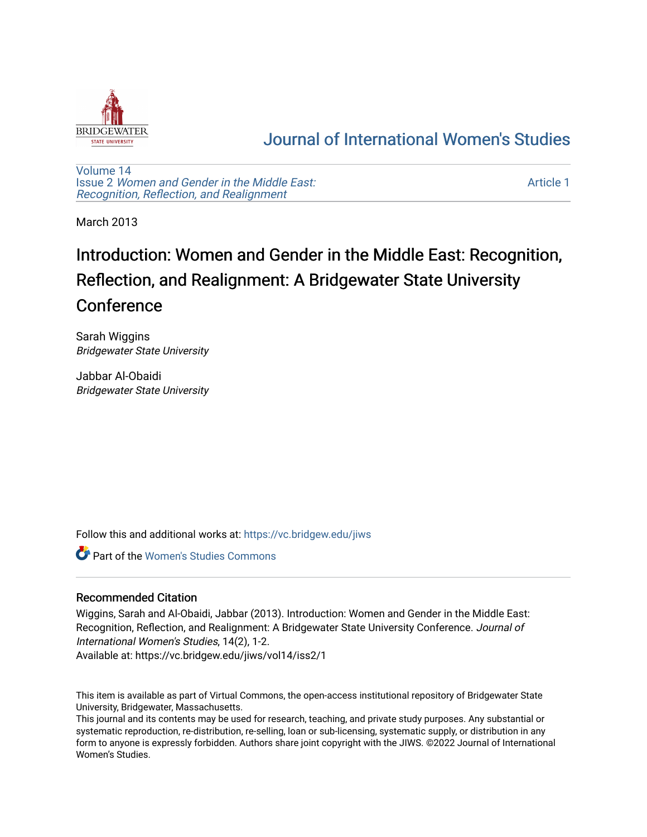

## [Journal of International Women's Studies](https://vc.bridgew.edu/jiws)

[Volume 14](https://vc.bridgew.edu/jiws/vol14) Issue 2 [Women and Gender in the Middle East:](https://vc.bridgew.edu/jiws/vol14/iss2)  [Recognition, Reflection, and Realignment](https://vc.bridgew.edu/jiws/vol14/iss2)

[Article 1](https://vc.bridgew.edu/jiws/vol14/iss2/1) 

March 2013

# Introduction: Women and Gender in the Middle East: Recognition, Reflection, and Realignment: A Bridgewater State University Conference

Sarah Wiggins Bridgewater State University

Jabbar Al-Obaidi Bridgewater State University

Follow this and additional works at: [https://vc.bridgew.edu/jiws](https://vc.bridgew.edu/jiws?utm_source=vc.bridgew.edu%2Fjiws%2Fvol14%2Fiss2%2F1&utm_medium=PDF&utm_campaign=PDFCoverPages)

Part of the [Women's Studies Commons](https://network.bepress.com/hgg/discipline/561?utm_source=vc.bridgew.edu%2Fjiws%2Fvol14%2Fiss2%2F1&utm_medium=PDF&utm_campaign=PDFCoverPages) 

### Recommended Citation

Wiggins, Sarah and Al-Obaidi, Jabbar (2013). Introduction: Women and Gender in the Middle East: Recognition, Reflection, and Realignment: A Bridgewater State University Conference. Journal of International Women's Studies, 14(2), 1-2.

Available at: https://vc.bridgew.edu/jiws/vol14/iss2/1

This item is available as part of Virtual Commons, the open-access institutional repository of Bridgewater State University, Bridgewater, Massachusetts.

This journal and its contents may be used for research, teaching, and private study purposes. Any substantial or systematic reproduction, re-distribution, re-selling, loan or sub-licensing, systematic supply, or distribution in any form to anyone is expressly forbidden. Authors share joint copyright with the JIWS. ©2022 Journal of International Women's Studies.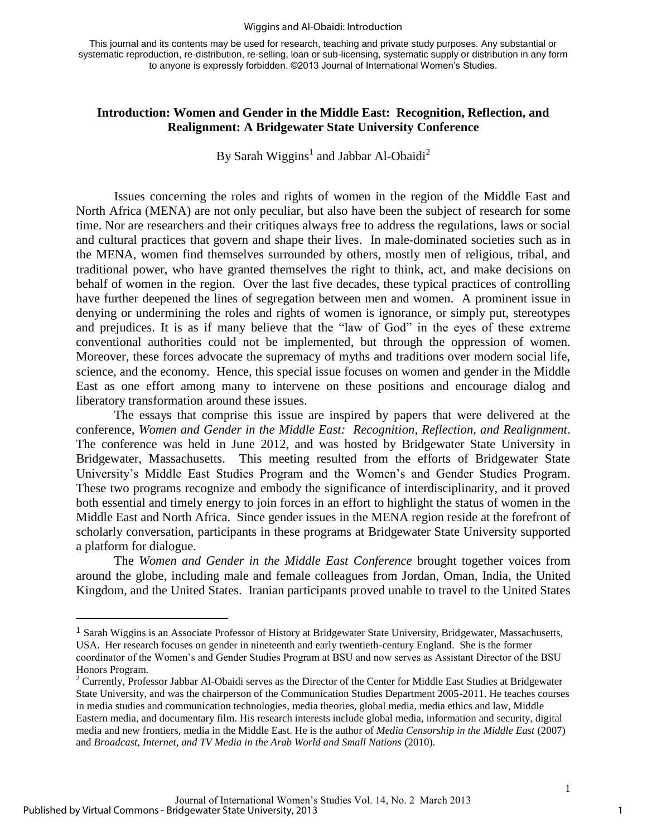#### Wiggins and Al-Obaidi: Introduction

This journal and its contents may be used for research, teaching and private study purposes. Any substantial or systematic reproduction, re-distribution, re-selling, loan or sub-licensing, systematic supply or distribution in any form to anyone is expressly forbidden. ©2013 Journal of International Women's Studies.

#### **Introduction: Women and Gender in the Middle East: Recognition, Reflection, and Realignment: A Bridgewater State University Conference**

By Sarah Wiggins<sup>1</sup> and Jabbar Al-Obaidi<sup>2</sup>

Issues concerning the roles and rights of women in the region of the Middle East and North Africa (MENA) are not only peculiar, but also have been the subject of research for some time. Nor are researchers and their critiques always free to address the regulations, laws or social and cultural practices that govern and shape their lives. In male-dominated societies such as in the MENA, women find themselves surrounded by others, mostly men of religious, tribal, and traditional power, who have granted themselves the right to think, act, and make decisions on behalf of women in the region. Over the last five decades, these typical practices of controlling have further deepened the lines of segregation between men and women. A prominent issue in denying or undermining the roles and rights of women is ignorance, or simply put, stereotypes and prejudices. It is as if many believe that the "law of God" in the eyes of these extreme conventional authorities could not be implemented, but through the oppression of women. Moreover, these forces advocate the supremacy of myths and traditions over modern social life, science, and the economy. Hence, this special issue focuses on women and gender in the Middle East as one effort among many to intervene on these positions and encourage dialog and liberatory transformation around these issues.

The essays that comprise this issue are inspired by papers that were delivered at the conference, *Women and Gender in the Middle East: Recognition, Reflection, and Realignment*. The conference was held in June 2012, and was hosted by Bridgewater State University in Bridgewater, Massachusetts. This meeting resulted from the efforts of Bridgewater State University's Middle East Studies Program and the Women's and Gender Studies Program. These two programs recognize and embody the significance of interdisciplinarity, and it proved both essential and timely energy to join forces in an effort to highlight the status of women in the Middle East and North Africa. Since gender issues in the MENA region reside at the forefront of scholarly conversation, participants in these programs at Bridgewater State University supported a platform for dialogue.

The *Women and Gender in the Middle East Conference* brought together voices from around the globe, including male and female colleagues from Jordan, Oman, India, the United Kingdom, and the United States. Iranian participants proved unable to travel to the United States

 $\overline{a}$ 

1

<sup>1</sup> Sarah Wiggins is an Associate Professor of History at Bridgewater State University, Bridgewater, Massachusetts, USA. Her research focuses on gender in nineteenth and early twentieth-century England. She is the former coordinator of the Women's and Gender Studies Program at BSU and now serves as Assistant Director of the BSU Honors Program.

<sup>&</sup>lt;sup>2</sup> Currently, Professor Jabbar Al-Obaidi serves as the Director of the Center for Middle East Studies at Bridgewater State University, and was the chairperson of the Communication Studies Department 2005-2011. He teaches courses in media studies and communication technologies, media theories, global media, media ethics and law, Middle Eastern media, and documentary film. His research interests include global media, information and security, digital media and new frontiers, media in the Middle East. He is the author of *Media Censorship in the Middle East* (2007) and *Broadcast, Internet, and TV Media in the Arab World and Small Nations* (2010).